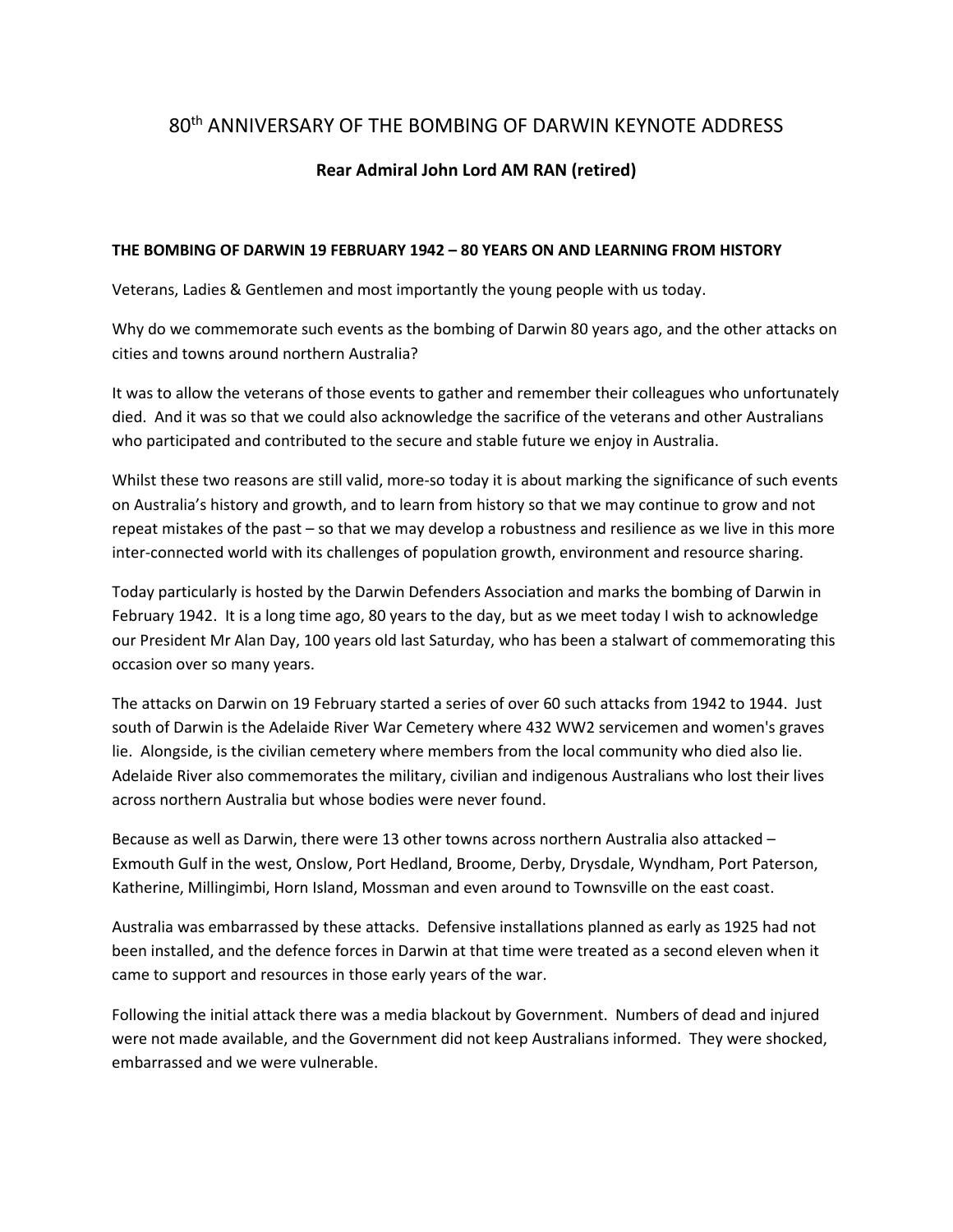## 80th ANNIVERSARY OF THE BOMBING OF DARWIN KEYNOTE ADDRESS

## **Rear Admiral John Lord AM RAN (retired)**

## **THE BOMBING OF DARWIN 19 FEBRUARY 1942 – 80 YEARS ON AND LEARNING FROM HISTORY**

Veterans, Ladies & Gentlemen and most importantly the young people with us today.

Why do we commemorate such events as the bombing of Darwin 80 years ago, and the other attacks on cities and towns around northern Australia?

It was to allow the veterans of those events to gather and remember their colleagues who unfortunately died. And it was so that we could also acknowledge the sacrifice of the veterans and other Australians who participated and contributed to the secure and stable future we enjoy in Australia.

Whilst these two reasons are still valid, more-so today it is about marking the significance of such events on Australia's history and growth, and to learn from history so that we may continue to grow and not repeat mistakes of the past – so that we may develop a robustness and resilience as we live in this more inter-connected world with its challenges of population growth, environment and resource sharing.

Today particularly is hosted by the Darwin Defenders Association and marks the bombing of Darwin in February 1942. It is a long time ago, 80 years to the day, but as we meet today I wish to acknowledge our President Mr Alan Day, 100 years old last Saturday, who has been a stalwart of commemorating this occasion over so many years.

The attacks on Darwin on 19 February started a series of over 60 such attacks from 1942 to 1944. Just south of Darwin is the Adelaide River War Cemetery where 432 WW2 servicemen and women's graves lie. Alongside, is the civilian cemetery where members from the local community who died also lie. Adelaide River also commemorates the military, civilian and indigenous Australians who lost their lives across northern Australia but whose bodies were never found.

Because as well as Darwin, there were 13 other towns across northern Australia also attacked – Exmouth Gulf in the west, Onslow, Port Hedland, Broome, Derby, Drysdale, Wyndham, Port Paterson, Katherine, Millingimbi, Horn Island, Mossman and even around to Townsville on the east coast.

Australia was embarrassed by these attacks. Defensive installations planned as early as 1925 had not been installed, and the defence forces in Darwin at that time were treated as a second eleven when it came to support and resources in those early years of the war.

Following the initial attack there was a media blackout by Government. Numbers of dead and injured were not made available, and the Government did not keep Australians informed. They were shocked, embarrassed and we were vulnerable.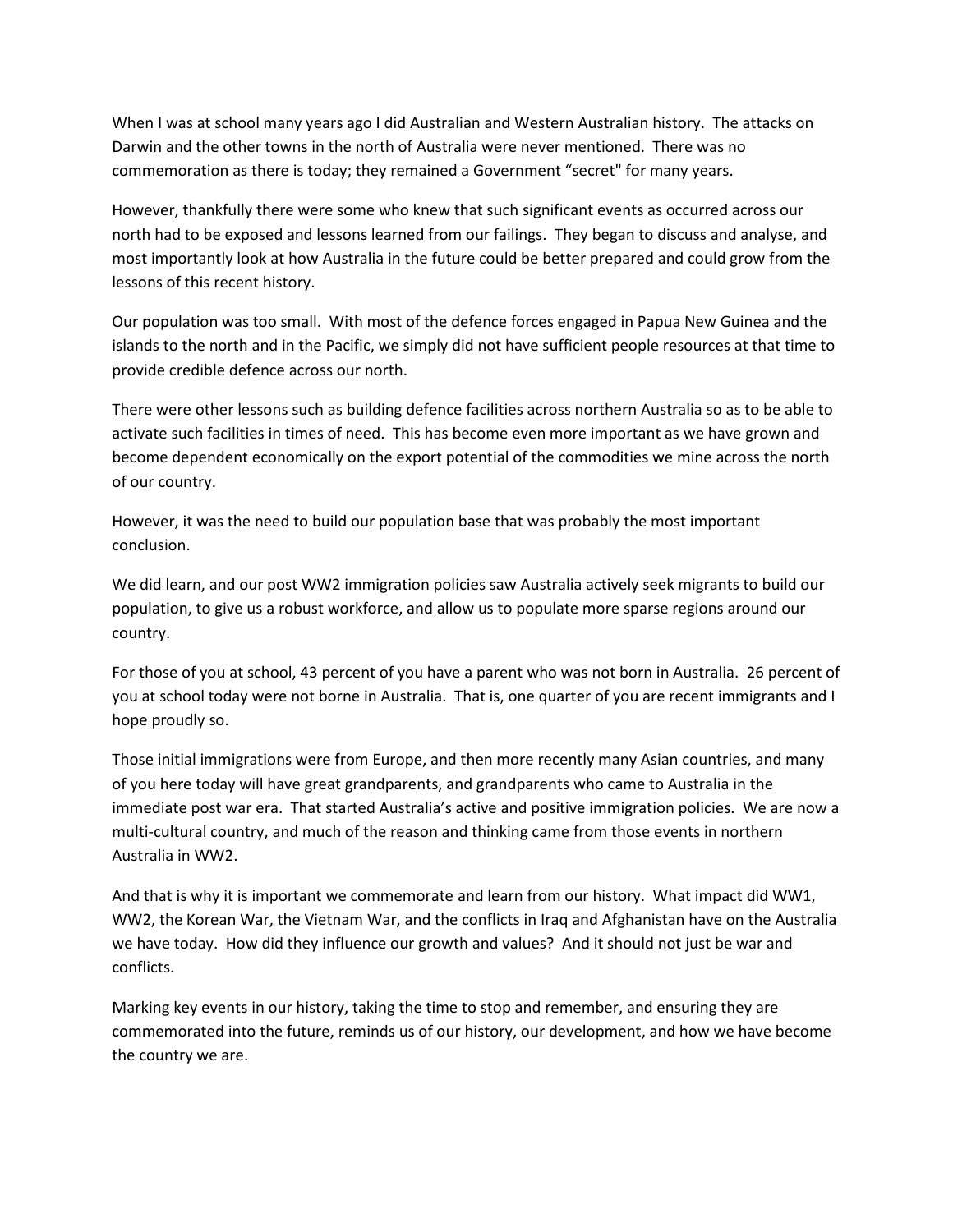When I was at school many years ago I did Australian and Western Australian history. The attacks on Darwin and the other towns in the north of Australia were never mentioned. There was no commemoration as there is today; they remained a Government "secret" for many years.

However, thankfully there were some who knew that such significant events as occurred across our north had to be exposed and lessons learned from our failings. They began to discuss and analyse, and most importantly look at how Australia in the future could be better prepared and could grow from the lessons of this recent history.

Our population was too small. With most of the defence forces engaged in Papua New Guinea and the islands to the north and in the Pacific, we simply did not have sufficient people resources at that time to provide credible defence across our north.

There were other lessons such as building defence facilities across northern Australia so as to be able to activate such facilities in times of need. This has become even more important as we have grown and become dependent economically on the export potential of the commodities we mine across the north of our country.

However, it was the need to build our population base that was probably the most important conclusion.

We did learn, and our post WW2 immigration policies saw Australia actively seek migrants to build our population, to give us a robust workforce, and allow us to populate more sparse regions around our country.

For those of you at school, 43 percent of you have a parent who was not born in Australia. 26 percent of you at school today were not borne in Australia. That is, one quarter of you are recent immigrants and I hope proudly so.

Those initial immigrations were from Europe, and then more recently many Asian countries, and many of you here today will have great grandparents, and grandparents who came to Australia in the immediate post war era. That started Australia's active and positive immigration policies. We are now a multi-cultural country, and much of the reason and thinking came from those events in northern Australia in WW2.

And that is why it is important we commemorate and learn from our history. What impact did WW1, WW2, the Korean War, the Vietnam War, and the conflicts in Iraq and Afghanistan have on the Australia we have today. How did they influence our growth and values? And it should not just be war and conflicts.

Marking key events in our history, taking the time to stop and remember, and ensuring they are commemorated into the future, reminds us of our history, our development, and how we have become the country we are.